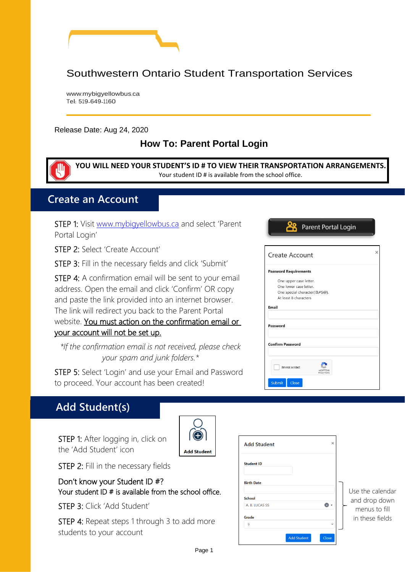

## Southwestern Ontario Student Transportation Services

www.[mybigyellowbus](http://www.mybigyellowbus.ca/).ca Tel: 519-649-1160

Release Date: Aug 24, 2020

### **How To: Parent Portal Login**

**YOU WILL NEED YOUR STUDENT'S ID # TO VIEW THEIR TRANSPORTATION ARRANGEMENTS.** Your student ID # is available from the school office.

## **Create an Account**

STEP 1: Visit [www.mybigyellowbus.ca](http://www.mybigyellowbus.ca/) and select 'Parent Portal Login'

STEP 2: Select 'Create Account'

STEP 3: Fill in the necessary fields and click 'Submit'

STEP 4: A confirmation email will be sent to your email address. Open the email and click 'Confirm' OR copy and paste the link provided into an internet browser. The link will redirect you back to the Parent Portal website. You must action on the confirmation email or your account will not be set up.

*\*If the confirmation email is not received, please check your spam and junk folders.\**

STEP 5: Select 'Login' and use your Email and Password to proceed. Your account has been created!



| <b>Password Requirements</b>                                                                                                                                                                                                                                                                                            |  |  |  |  |  |  |  |
|-------------------------------------------------------------------------------------------------------------------------------------------------------------------------------------------------------------------------------------------------------------------------------------------------------------------------|--|--|--|--|--|--|--|
| One upper case letter.                                                                                                                                                                                                                                                                                                  |  |  |  |  |  |  |  |
| One lower case letter.                                                                                                                                                                                                                                                                                                  |  |  |  |  |  |  |  |
| One special character(!&#\$@).</th></tr><tr><th colspan=7>At least 8 characters</th></tr><tr><td>Email</td></tr><tr><th></th></tr><tr><th>Password</th></tr><tr><td><b>Confirm Password</b></td></tr><tr><td>I'm not a robot<br>reCAPTCHA<br>Privacy - Terma</td></tr><tr><td>Submit<br>Close</td></tr></tbody></table> |  |  |  |  |  |  |  |

## **Add Student(s)**

STEP 1: After logging in, click on the 'Add Student' icon



STEP 2: Fill in the necessary fields

#### Don't know your Student ID #? Your student ID # is available from the school office.

STEP 3: Click 'Add Student'

**STEP 4:** Repeat steps 1 through 3 to add more students to your account

| <b>Add Student</b> | $\times$     |                  |
|--------------------|--------------|------------------|
|                    |              |                  |
| <b>Student ID</b>  |              |                  |
| <b>Birth Date</b>  |              |                  |
|                    |              | Use the calendar |
| <b>School</b>      |              | and drop down    |
| A. B. LUCAS SS     |              |                  |
|                    |              | menus to fill    |
| Grade              |              | in these fields  |
| 9                  | $\checkmark$ |                  |
| <b>Add Student</b> | Close        |                  |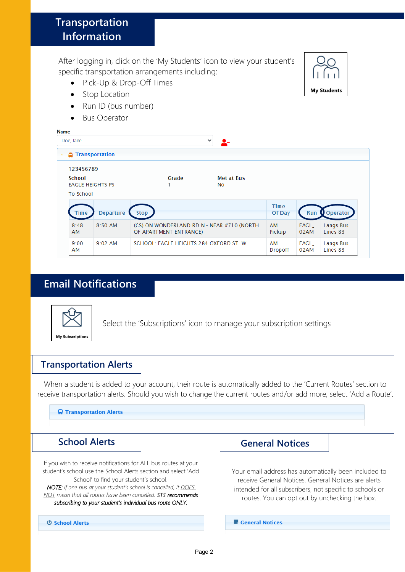## **Transportation Information**

After logging in, click on the 'My Students' icon to view your student's specific transportation arrangements including:

- Pick-Up & Drop-Off Times
- Stop Location
- Run ID (bus number)
- Bus Operator



| Name<br>Doe, Jane                              |                         |                                                                      | $\checkmark$     |                       |               |                              |
|------------------------------------------------|-------------------------|----------------------------------------------------------------------|------------------|-----------------------|---------------|------------------------------|
|                                                | <b>Q</b> Transportation |                                                                      |                  |                       |               |                              |
| 123456789<br><b>School</b><br><b>To School</b> | <b>EAGLE HEIGHTS PS</b> | Grade                                                                | Met at Bus<br>No |                       |               |                              |
| <b>Time</b>                                    | <b>Departure</b>        | <b>Stop</b>                                                          |                  | <b>Time</b><br>Of Day | Run           | <b>Operator</b>              |
| 8:48<br><b>AM</b>                              | 8:50 AM                 | (CS) ON WONDERLAND RD N - NEAR #710 (NORTH<br>OF APARTMENT ENTRANCE) |                  | <b>AM</b><br>Pickup   | EAGL_<br>02AM | <b>Langs Bus</b><br>Lines 83 |
| 9:00<br>AM                                     | 9:02 AM                 | SCHOOL: EAGLE HEIGHTS 284 OXFORD ST. W.                              |                  | AM<br>Dropoff         | EAGL_<br>02AM | <b>Langs Bus</b><br>Lines 83 |

# **Email Notifications**



Select the 'Subscriptions' icon to manage your subscription settings

## **Transportation Alerts**

When a student is added to your account, their route is automatically added to the 'Current Routes' section to receive transportation alerts. Should you wish to change the current routes and/or add more, select 'Add a Route'.

**Q** Transportation Alerts

| <b>School Alerts</b>                                                                                                                                                                                                                                                                                                                                                       | <b>General Notices</b>                                                                                                                                                                                                     |  |
|----------------------------------------------------------------------------------------------------------------------------------------------------------------------------------------------------------------------------------------------------------------------------------------------------------------------------------------------------------------------------|----------------------------------------------------------------------------------------------------------------------------------------------------------------------------------------------------------------------------|--|
| If you wish to receive notifications for ALL bus routes at your<br>student's school use the School Alerts section and select 'Add<br>School' to find your student's school.<br>NOTE: If one bus at your student's school is cancelled, it DOES<br>NOT mean that all routes have been cancelled. STS recommends<br>subscribing to your student's individual bus route ONLY. | Your email address has automatically been included to<br>receive General Notices. General Notices are alerts<br>intended for all subscribers, not specific to schools or<br>routes. You can opt out by unchecking the box. |  |
| <b>C School Alerts</b>                                                                                                                                                                                                                                                                                                                                                     | <b>Ceneral Notices</b>                                                                                                                                                                                                     |  |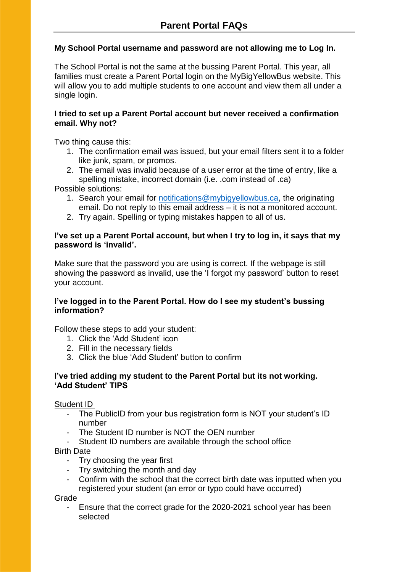#### **My School Portal username and password are not allowing me to Log In.**

The School Portal is not the same at the bussing Parent Portal. This year, all families must create a Parent Portal login on the MyBigYellowBus website. This will allow you to add multiple students to one account and view them all under a single login.

#### **I tried to set up a Parent Portal account but never received a confirmation email. Why not?**

Two thing cause this:

- 1. The confirmation email was issued, but your email filters sent it to a folder like junk, spam, or promos.
- 2. The email was invalid because of a user error at the time of entry, like a spelling mistake, incorrect domain (i.e. .com instead of .ca)

Possible solutions:

- 1. Search your email for [notifications@mybigyellowbus.ca,](mailto:notifications@mybigyellowbus.ca) the originating email. Do not reply to this email address – it is not a monitored account.
- 2. Try again. Spelling or typing mistakes happen to all of us.

#### **I've set up a Parent Portal account, but when I try to log in, it says that my password is 'invalid'.**

Make sure that the password you are using is correct. If the webpage is still showing the password as invalid, use the 'I forgot my password' button to reset your account.

#### **I've logged in to the Parent Portal. How do I see my student's bussing information?**

Follow these steps to add your student:

- 1. Click the 'Add Student' icon
- 2. Fill in the necessary fields
- 3. Click the blue 'Add Student' button to confirm

#### **I've tried adding my student to the Parent Portal but its not working. 'Add Student' TIPS**

#### Student ID

- The PublicID from your bus registration form is NOT your student's ID number
- The Student ID number is NOT the OEN number
- Student ID numbers are available through the school office

#### Birth Date

- Try choosing the year first
- Try switching the month and day
- Confirm with the school that the correct birth date was inputted when you registered your student (an error or typo could have occurred)

Grade

Ensure that the correct grade for the 2020-2021 school year has been selected